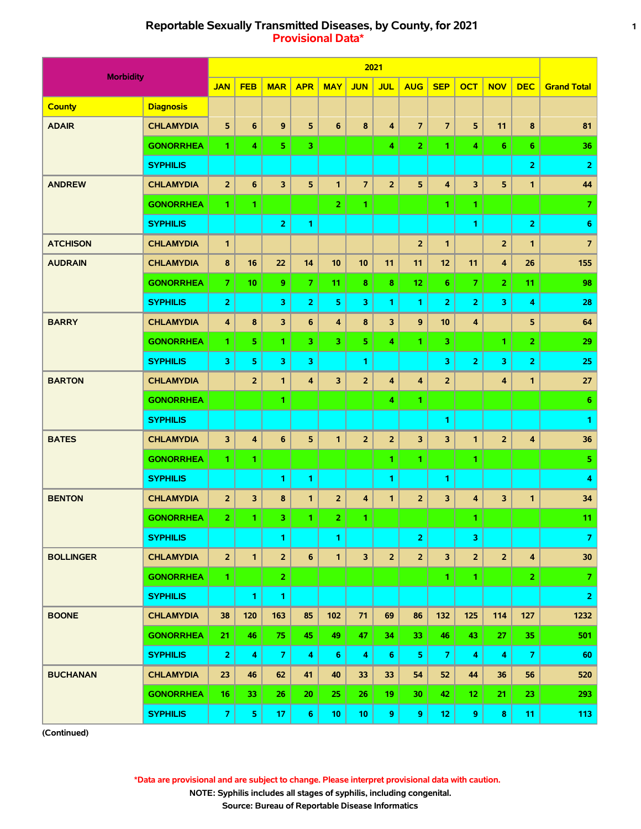# **Reportable Sexually Transmitted Diseases, by County, for 2021 1 Provisional Data\***

|                  |                  |                         |                         |                         |                         |                |                         | 2021           |                |                         |                         |                         |                         |                         |
|------------------|------------------|-------------------------|-------------------------|-------------------------|-------------------------|----------------|-------------------------|----------------|----------------|-------------------------|-------------------------|-------------------------|-------------------------|-------------------------|
| <b>Morbidity</b> |                  | <b>JAN</b>              | <b>FEB</b>              | <b>MAR</b>              | <b>APR</b>              | <b>MAY</b>     | <b>JUN</b>              | <b>JUL</b>     | <b>AUG</b>     | <b>SEP</b>              | <b>OCT</b>              | <b>NOV</b>              | <b>DEC</b>              | <b>Grand Total</b>      |
| <b>County</b>    | <b>Diagnosis</b> |                         |                         |                         |                         |                |                         |                |                |                         |                         |                         |                         |                         |
| <b>ADAIR</b>     | <b>CHLAMYDIA</b> | 5                       | 6                       | 9                       | 5                       | 6              | 8                       | 4              | $\overline{7}$ | $\overline{7}$          | 5                       | 11                      | 8                       | 81                      |
|                  | <b>GONORRHEA</b> | 1.                      | 4                       | 5                       | 3                       |                |                         | 4              | $\overline{2}$ | 1                       | 4                       | $6\phantom{1}$          | 6                       | 36                      |
|                  | <b>SYPHILIS</b>  |                         |                         |                         |                         |                |                         |                |                |                         |                         |                         | $\overline{2}$          | $\overline{2}$          |
| <b>ANDREW</b>    | <b>CHLAMYDIA</b> | $\overline{2}$          | 6                       | 3                       | 5                       | $\mathbf{1}$   | $\overline{7}$          | $\overline{2}$ | 5              | $\overline{4}$          | 3                       | 5                       | $\mathbf{1}$            | 44                      |
|                  | <b>GONORRHEA</b> | 1.                      | 1                       |                         |                         | 2 <sup>1</sup> | 1.                      |                |                | 1.                      | 1                       |                         |                         | $\overline{7}$          |
|                  | <b>SYPHILIS</b>  |                         |                         | $\overline{\mathbf{2}}$ | 1                       |                |                         |                |                |                         | 1                       |                         | $\overline{2}$          | $6\phantom{1}6$         |
| <b>ATCHISON</b>  | <b>CHLAMYDIA</b> | $\mathbf{1}$            |                         |                         |                         |                |                         |                | $\overline{2}$ | $\mathbf{1}$            |                         | $\overline{2}$          | $\mathbf{1}$            | $\overline{7}$          |
| <b>AUDRAIN</b>   | <b>CHLAMYDIA</b> | 8                       | 16                      | 22                      | 14                      | 10             | 10                      | 11             | 11             | $12$                    | 11                      | $\overline{4}$          | 26                      | 155                     |
|                  | <b>GONORRHEA</b> | $\overline{7}$          | 10                      | 9                       | $\overline{7}$          | 11             | 8                       | 8              | 12             | 6                       | $\overline{7}$          | $\overline{2}$          | 11                      | 98                      |
|                  | <b>SYPHILIS</b>  | 2                       |                         | 3                       | $\overline{2}$          | 5              | 3                       | 1.             | 1              | $\overline{2}$          | $\overline{2}$          | 3                       | 4                       | 28                      |
| <b>BARRY</b>     | <b>CHLAMYDIA</b> | $\overline{\mathbf{4}}$ | 8                       | 3                       | $6\phantom{1}$          | 4              | 8                       | 3              | 9              | 10                      | 4                       |                         | 5                       | 64                      |
|                  | <b>GONORRHEA</b> | 1.                      | 5                       | 1                       | 3                       | 3              | 5                       | 4              | 1.             | 3                       |                         | 1.                      | $\overline{2}$          | 29                      |
|                  | <b>SYPHILIS</b>  | 3                       | 5                       | 3                       | 3                       |                | 1                       |                |                | 3                       | $\overline{2}$          | 3                       | $\overline{2}$          | 25                      |
| <b>BARTON</b>    | <b>CHLAMYDIA</b> |                         | $\overline{2}$          | $\mathbf{1}$            | $\overline{\mathbf{4}}$ | 3              | $\overline{2}$          | 4              | 4              | $\overline{2}$          |                         | $\overline{4}$          | 1                       | 27                      |
|                  | <b>GONORRHEA</b> |                         |                         | 1                       |                         |                |                         | 4              | 1.             |                         |                         |                         |                         | 6                       |
|                  | <b>SYPHILIS</b>  |                         |                         |                         |                         |                |                         |                |                | 1                       |                         |                         |                         | 1                       |
| <b>BATES</b>     | <b>CHLAMYDIA</b> | $\overline{\mathbf{3}}$ | $\overline{\mathbf{4}}$ | 6                       | 5                       | $\mathbf{1}$   | $\overline{2}$          | $\overline{2}$ | 3              | $\overline{\mathbf{3}}$ | $\mathbf{1}$            | $\overline{2}$          | 4                       | 36                      |
|                  | <b>GONORRHEA</b> | 1.                      | 1                       |                         |                         |                |                         | 1.             | 1.             |                         | 1                       |                         |                         | $\overline{\mathbf{5}}$ |
|                  | <b>SYPHILIS</b>  |                         |                         | 1                       | 1                       |                |                         | 1              |                | 1                       |                         |                         |                         | 4                       |
| <b>BENTON</b>    | <b>CHLAMYDIA</b> | $\overline{2}$          | 3                       | 8                       | 1                       | $\overline{2}$ | $\overline{\mathbf{4}}$ | 1              | $\overline{2}$ | 3                       | 4                       | 3                       | 1                       | 34                      |
|                  | <b>GONORRHEA</b> | $\overline{2}$          | 1                       | 3                       | 1                       | $\overline{2}$ | 1.                      |                |                |                         | 1                       |                         |                         | 11                      |
|                  | <b>SYPHILIS</b>  |                         |                         | $\mathbf{1}$            |                         | $\mathbf{1}$   |                         |                | $\overline{2}$ |                         | 3                       |                         |                         | $\overline{7}$          |
| <b>BOLLINGER</b> | <b>CHLAMYDIA</b> | $\overline{2}$          | $\mathbf{1}$            | $\overline{2}$          | 6                       | $\mathbf{1}$   | 3                       | $\overline{2}$ | $\overline{2}$ | $\overline{\mathbf{3}}$ | $\overline{2}$          | $\overline{\mathbf{2}}$ | $\overline{\mathbf{4}}$ | $30$                    |
|                  | <b>GONORRHEA</b> | $\mathbf{1}$            |                         | $\overline{2}$          |                         |                |                         |                |                | $\mathbf{1}$            | $\mathbf{1}$            |                         | 2 <sup>1</sup>          | $\overline{7}$          |
|                  | <b>SYPHILIS</b>  |                         | 1                       | 1                       |                         |                |                         |                |                |                         |                         |                         |                         | $\overline{2}$          |
| <b>BOONE</b>     | <b>CHLAMYDIA</b> | 38                      | 120                     | 163                     | 85                      | 102            | 71                      | 69             | 86             | 132                     | 125                     | 114                     | 127                     | 1232                    |
|                  | <b>GONORRHEA</b> | 21                      | 46                      | 75                      | 45                      | 49             | 47                      | 34             | 33             | 46                      | 43                      | 27                      | 35                      | 501                     |
|                  | <b>SYPHILIS</b>  | $\overline{2}$          | 4                       | $\mathbf{7}$            | 4                       | 6              | 4                       | $6^{\circ}$    | 5              | $\overline{7}$          | $\overline{\mathbf{4}}$ | 4                       | $\mathbf{7}$            | 60                      |
| <b>BUCHANAN</b>  | <b>CHLAMYDIA</b> | 23                      | 46                      | 62                      | 41                      | 40             | 33                      | 33             | 54             | 52                      | 44                      | 36                      | 56                      | 520                     |
|                  | <b>GONORRHEA</b> | 16                      | 33                      | 26                      | 20                      | 25             | 26                      | 19             | 30             | 42                      | 12 <sub>2</sub>         | 21                      | 23                      | 293                     |
|                  | <b>SYPHILIS</b>  | $\mathbf{7}$            | ${\bf 5}$               | 17 <sub>2</sub>         | 6                       | 10             | 10                      | 9              | 9              | $12$                    | 9                       | $\pmb{8}$               | 11                      | 113                     |

**(Continued)**

 **\*Data are provisional and are subject to change. Please interpret provisional data with caution.**

 **NOTE: Syphilis includes all stages of syphilis, including congenital.**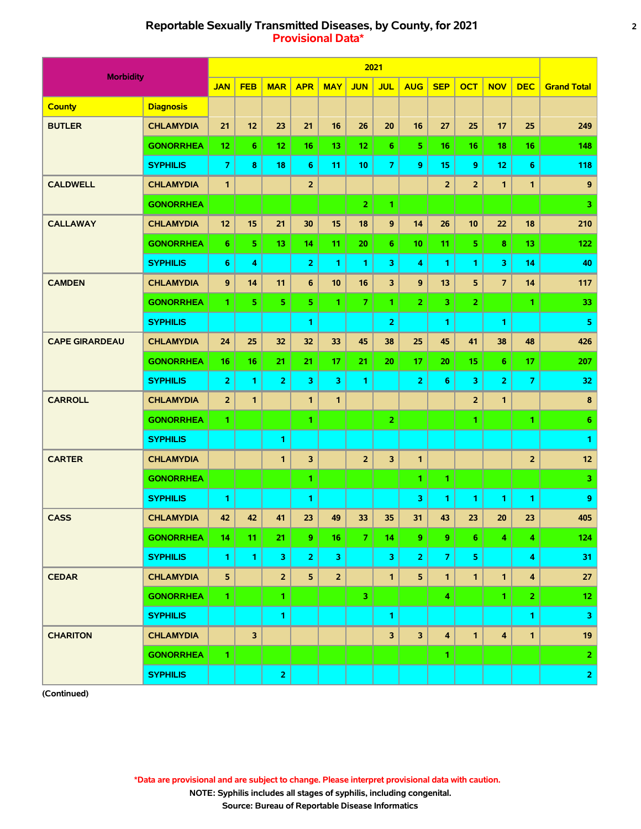# **Reportable Sexually Transmitted Diseases, by County, for 2021 2 Provisional Data\***

|                       |                  |                         |                         |                |                         |                 |                | 2021           |                         |                |                         |                         |                         |                    |
|-----------------------|------------------|-------------------------|-------------------------|----------------|-------------------------|-----------------|----------------|----------------|-------------------------|----------------|-------------------------|-------------------------|-------------------------|--------------------|
| <b>Morbidity</b>      |                  | <b>JAN</b>              | <b>FEB</b>              | <b>MAR</b>     | <b>APR</b>              | <b>MAY</b>      | <b>JUN</b>     | <b>JUL</b>     | <b>AUG</b>              | <b>SEP</b>     | <b>OCT</b>              | <b>NOV</b>              | <b>DEC</b>              | <b>Grand Total</b> |
| <b>County</b>         | <b>Diagnosis</b> |                         |                         |                |                         |                 |                |                |                         |                |                         |                         |                         |                    |
| <b>BUTLER</b>         | <b>CHLAMYDIA</b> | 21                      | 12                      | 23             | 21                      | 16              | 26             | 20             | 16                      | 27             | 25                      | 17                      | 25                      | 249                |
|                       | <b>GONORRHEA</b> | 12                      | 6                       | 12             | 16                      | 13              | 12             | 6              | 5.                      | 16             | 16                      | 18                      | 16                      | 148                |
|                       | <b>SYPHILIS</b>  | $\overline{7}$          | 8                       | 18             | $6\phantom{1}$          | 11              | 10             | 7              | 9                       | 15             | 9                       | 12                      | 6                       | 118                |
| <b>CALDWELL</b>       | <b>CHLAMYDIA</b> | $\mathbf{1}$            |                         |                | $\overline{2}$          |                 |                |                |                         | $\overline{2}$ | $\overline{\mathbf{2}}$ | 1                       | $\mathbf{1}$            | $\boldsymbol{9}$   |
|                       | <b>GONORRHEA</b> |                         |                         |                |                         |                 | $\overline{2}$ | 1              |                         |                |                         |                         |                         | 3                  |
| <b>CALLAWAY</b>       | <b>CHLAMYDIA</b> | 12                      | 15                      | 21             | 30                      | 15              | 18             | 9              | 14                      | 26             | 10                      | 22                      | 18                      | 210                |
|                       | <b>GONORRHEA</b> | 6                       | 5                       | 13             | 14                      | 11              | 20             | 6              | 10                      | 11             | 5                       | 8                       | 13                      | 122                |
|                       | <b>SYPHILIS</b>  | 6                       | 4                       |                | $\overline{\mathbf{2}}$ | 1               | $\mathbf{1}$   | 3              | 4                       | 1              | 1                       | 3                       | 14                      | 40                 |
| <b>CAMDEN</b>         | <b>CHLAMYDIA</b> | 9                       | 14                      | 11             | $6\phantom{1}$          | 10              | 16             | 3              | 9                       | 13             | 5                       | $\overline{7}$          | 14                      | 117                |
|                       | <b>GONORRHEA</b> | 1.                      | 5                       | 5              | 5                       | 1.              | $\overline{7}$ | 1.             | $\overline{2}$          | 3              | $\overline{2}$          |                         | 1.                      | 33                 |
|                       | <b>SYPHILIS</b>  |                         |                         |                | 1                       |                 |                | $\overline{2}$ |                         | 1              |                         | 1                       |                         | 5                  |
| <b>CAPE GIRARDEAU</b> | <b>CHLAMYDIA</b> | 24                      | 25                      | 32             | 32                      | 33              | 45             | 38             | 25                      | 45             | 41                      | 38                      | 48                      | 426                |
|                       | <b>GONORRHEA</b> | 16                      | 16                      | 21             | 21                      | 17              | 21             | 20             | 17                      | 20             | 15                      | 6                       | 17                      | 207                |
|                       | <b>SYPHILIS</b>  | $\overline{\mathbf{2}}$ | $\mathbf{1}$            | $\overline{2}$ | 3                       | 3               | $\mathbf{1}$   |                | $\overline{2}$          | 6              | 3                       | 2                       | $\overline{7}$          | 32                 |
| <b>CARROLL</b>        | <b>CHLAMYDIA</b> | $\overline{2}$          | 1                       |                | 1                       | 1               |                |                |                         |                | $\overline{2}$          | $\mathbf{1}$            |                         | 8                  |
|                       | <b>GONORRHEA</b> | 1.                      |                         |                | 1                       |                 |                | $\overline{2}$ |                         |                | 1                       |                         | 1.                      | 6                  |
|                       | <b>SYPHILIS</b>  |                         |                         | 1              |                         |                 |                |                |                         |                |                         |                         |                         | 1                  |
| <b>CARTER</b>         | <b>CHLAMYDIA</b> |                         |                         | $\mathbf{1}$   | 3                       |                 | $\overline{2}$ | 3              | $\mathbf{1}$            |                |                         |                         | $\overline{2}$          | $12$               |
|                       | <b>GONORRHEA</b> |                         |                         |                | 1                       |                 |                |                | 1.                      | 1              |                         |                         |                         | 3                  |
|                       | <b>SYPHILIS</b>  | 1.                      |                         |                | 1                       |                 |                |                | 3                       | 1              | 1                       | 1                       | 1.                      | 9                  |
| <b>CASS</b>           | <b>CHLAMYDIA</b> | 42                      | 42                      | 41             | 23                      | 49              | 33             | 35             | 31                      | 43             | 23                      | 20                      | 23                      | 405                |
|                       | <b>GONORRHEA</b> | 14                      | 11                      | 21             | 9                       | 16 <sub>1</sub> | $\overline{7}$ | 14             | 9.                      | 9              | 6.                      | 4                       | 4                       | 124                |
|                       | <b>SYPHILIS</b>  | $\mathbf{1}$            | $\mathbf{1}$            | 3              | $\overline{2}$          | $\mathbf{3}$    |                | 3              | $\overline{\mathbf{2}}$ | $\overline{7}$ | 5                       |                         | $\overline{\mathbf{4}}$ | 31                 |
| <b>CEDAR</b>          | <b>CHLAMYDIA</b> | 5                       |                         | $\overline{2}$ | 5                       | $\overline{2}$  |                | $\mathbf{1}$   | 5                       | 1              | $\mathbf{1}$            | $\mathbf{1}$            | $\overline{\mathbf{4}}$ | 27                 |
|                       | <b>GONORRHEA</b> | $\mathbf{1}$            |                         | 1              |                         |                 | 3              |                |                         | 4              |                         | 1.                      | 2 <sup>1</sup>          | 12 <sub>2</sub>    |
|                       | <b>SYPHILIS</b>  |                         |                         | 1              |                         |                 |                | 1              |                         |                |                         |                         | 1.                      | 3                  |
| <b>CHARITON</b>       | <b>CHLAMYDIA</b> |                         | $\overline{\mathbf{3}}$ |                |                         |                 |                | 3              | 3                       | 4              | $\mathbf{1}$            | $\overline{\mathbf{4}}$ | $\mathbf{1}$            | 19                 |
|                       | <b>GONORRHEA</b> | 1.                      |                         |                |                         |                 |                |                |                         | 1.             |                         |                         |                         | $\mathbf{2}$       |
|                       | <b>SYPHILIS</b>  |                         |                         | $\overline{2}$ |                         |                 |                |                |                         |                |                         |                         |                         | $2 \mid$           |

**(Continued)**

 **\*Data are provisional and are subject to change. Please interpret provisional data with caution.**

 **NOTE: Syphilis includes all stages of syphilis, including congenital.**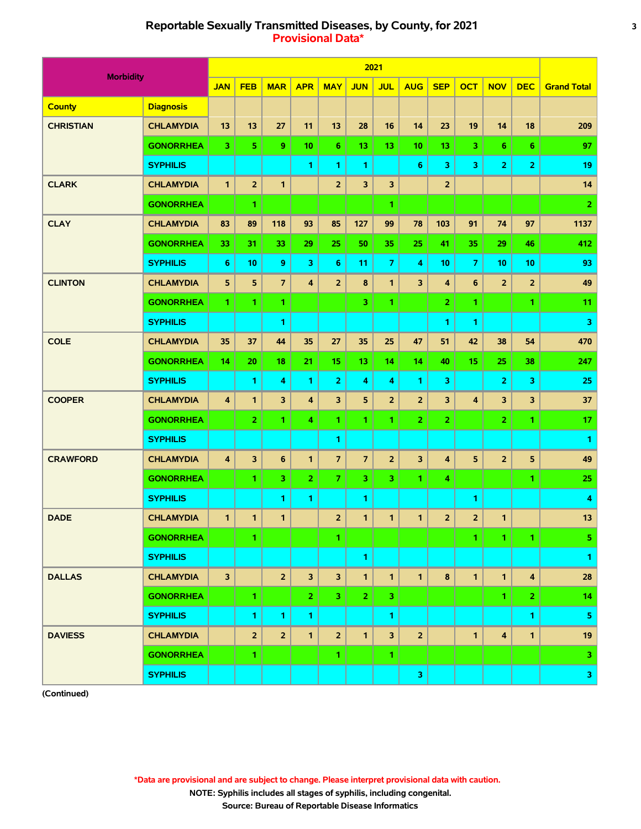# **Reportable Sexually Transmitted Diseases, by County, for 2021 3 Provisional Data\***

|                  |                  |                         |                |                |                |                |                | 2021           |                |                |                         |                |                         |                    |
|------------------|------------------|-------------------------|----------------|----------------|----------------|----------------|----------------|----------------|----------------|----------------|-------------------------|----------------|-------------------------|--------------------|
| <b>Morbidity</b> |                  | <b>JAN</b>              | <b>FEB</b>     | <b>MAR</b>     | <b>APR</b>     | <b>MAY</b>     | <b>JUN</b>     | <b>JUL</b>     | <b>AUG</b>     | <b>SEP</b>     | <b>OCT</b>              | <b>NOV</b>     | <b>DEC</b>              | <b>Grand Total</b> |
| <b>County</b>    | <b>Diagnosis</b> |                         |                |                |                |                |                |                |                |                |                         |                |                         |                    |
| <b>CHRISTIAN</b> | <b>CHLAMYDIA</b> | 13                      | 13             | 27             | 11             | 13             | 28             | 16             | 14             | 23             | 19                      | 14             | 18                      | 209                |
|                  | <b>GONORRHEA</b> | 3                       | 5              | 9              | 10             | 6              | 13             | 13             | 10             | 13             | 3                       | 6              | 6                       | 97                 |
|                  | <b>SYPHILIS</b>  |                         |                |                | 1              | 1.             | 1              |                | 6              | 3              | 3                       | $\overline{2}$ | $\overline{2}$          | 19                 |
| <b>CLARK</b>     | <b>CHLAMYDIA</b> | $\mathbf{1}$            | $\overline{2}$ | $\mathbf{1}$   |                | $\overline{2}$ | 3              | 3              |                | $\overline{2}$ |                         |                |                         | 14                 |
|                  | <b>GONORRHEA</b> |                         | 1              |                |                |                |                | 1              |                |                |                         |                |                         | $\overline{2}$     |
| <b>CLAY</b>      | <b>CHLAMYDIA</b> | 83                      | 89             | 118            | 93             | 85             | 127            | 99             | 78             | 103            | 91                      | 74             | 97                      | 1137               |
|                  | <b>GONORRHEA</b> | 33                      | 31             | 33             | 29             | 25             | 50             | 35             | 25             | 41             | 35                      | 29             | 46                      | 412                |
|                  | <b>SYPHILIS</b>  | 6                       | 10             | 9              | 3              | $6\phantom{a}$ | 11             | 7              | 4              | 10             | $\overline{7}$          | 10             | 10                      | 93                 |
| <b>CLINTON</b>   | <b>CHLAMYDIA</b> | 5                       | 5              | $\overline{7}$ | 4              | $\overline{2}$ | 8              | 1              | 3              | 4              | 6                       | $\overline{2}$ | $\overline{2}$          | 49                 |
|                  | <b>GONORRHEA</b> | 1.                      | 1              | $\mathbf{1}$   |                |                | 3              | 1.             |                | $\overline{2}$ | 1.                      |                | 1.                      | 11                 |
|                  | <b>SYPHILIS</b>  |                         |                | 1              |                |                |                |                |                | 1              | 1                       |                |                         | 3                  |
| <b>COLE</b>      | <b>CHLAMYDIA</b> | 35                      | 37             | 44             | 35             | 27             | 35             | 25             | 47             | 51             | 42                      | 38             | 54                      | 470                |
|                  | <b>GONORRHEA</b> | 14                      | 20             | 18             | 21             | 15             | 13             | 14             | 14             | 40             | 15                      | 25             | 38                      | 247                |
|                  | <b>SYPHILIS</b>  |                         | $\mathbf{1}$   | 4              | $\mathbf{1}$   | 2              | 4              | 4              | 1.             | 3              |                         | $\mathbf 2$    | 3                       | 25                 |
| <b>COOPER</b>    | <b>CHLAMYDIA</b> | $\overline{\mathbf{4}}$ | 1              | 3              | 4              | 3              | 5              | $\overline{2}$ | $\overline{2}$ | 3              | 4                       | 3              | 3                       | 37                 |
|                  | <b>GONORRHEA</b> |                         | $\overline{2}$ | 1              | 4              | 1.             | 1              | 1.             | $\overline{2}$ | $\overline{2}$ |                         | $\overline{2}$ | 1.                      | 17                 |
|                  | <b>SYPHILIS</b>  |                         |                |                |                | 1              |                |                |                |                |                         |                |                         | 1                  |
| <b>CRAWFORD</b>  | <b>CHLAMYDIA</b> | 4                       | 3              | 6              | $\mathbf{1}$   | $\overline{7}$ | $\overline{7}$ | $\overline{2}$ | 3              | 4              | 5                       | $\overline{2}$ | 5                       | 49                 |
|                  | <b>GONORRHEA</b> |                         | 1              | 3              | $\overline{2}$ | $\mathbf{7}$   | 3              | 3.             | 1.             | 4              |                         |                | 1                       | 25                 |
|                  | <b>SYPHILIS</b>  |                         |                | 1              | 1              |                | 1              |                |                |                | 1                       |                |                         | 4                  |
| <b>DADE</b>      | <b>CHLAMYDIA</b> | $\mathbf{1}$            | 1              | 1              |                | $\overline{2}$ | 1              | 1              | 1              | $\overline{2}$ | $\overline{\mathbf{2}}$ | 1              |                         | 13                 |
|                  | <b>GONORRHEA</b> |                         | 1              |                |                | 1.             |                |                |                |                | 1.                      | 1.             | -1.                     | 5 <sub>1</sub>     |
|                  | <b>SYPHILIS</b>  |                         |                |                |                |                | 1              |                |                |                |                         |                |                         | $\mathbf{1}$       |
| <b>DALLAS</b>    | <b>CHLAMYDIA</b> | $\overline{\mathbf{3}}$ |                | $\overline{2}$ | 3              | 3 <sup>1</sup> | $\mathbf{1}$   | $\mathbf{1}$   | $\mathbf{1}$   | 8              | $\mathbf{1}$            | $\mathbf{1}$   | $\overline{\mathbf{4}}$ | 28                 |
|                  | <b>GONORRHEA</b> |                         | 1              |                | $\mathbf{2}$   | 3 <sup>7</sup> | $\mathbf{2}$   | 3.             |                |                |                         | 1.             | 2 <sup>1</sup>          | 14                 |
|                  | <b>SYPHILIS</b>  |                         | 1              | 1.             | 1.             |                |                | 1              |                |                |                         |                | 1.                      | 5                  |
| <b>DAVIESS</b>   | <b>CHLAMYDIA</b> |                         | $\overline{2}$ | $\overline{2}$ | $\mathbf{1}$   | $\overline{2}$ | $\mathbf{1}$   | 3              | $\overline{2}$ |                | 1                       | 4              | $\mathbf{1}$            | 19                 |
|                  | <b>GONORRHEA</b> |                         | 1              |                |                | 1.             |                | 1.             |                |                |                         |                |                         | 3.                 |
|                  | <b>SYPHILIS</b>  |                         |                |                |                |                |                |                | $\mathbf{3}$   |                |                         |                |                         | 3 <sup>1</sup>     |

**(Continued)**

 **\*Data are provisional and are subject to change. Please interpret provisional data with caution.**

 **NOTE: Syphilis includes all stages of syphilis, including congenital.**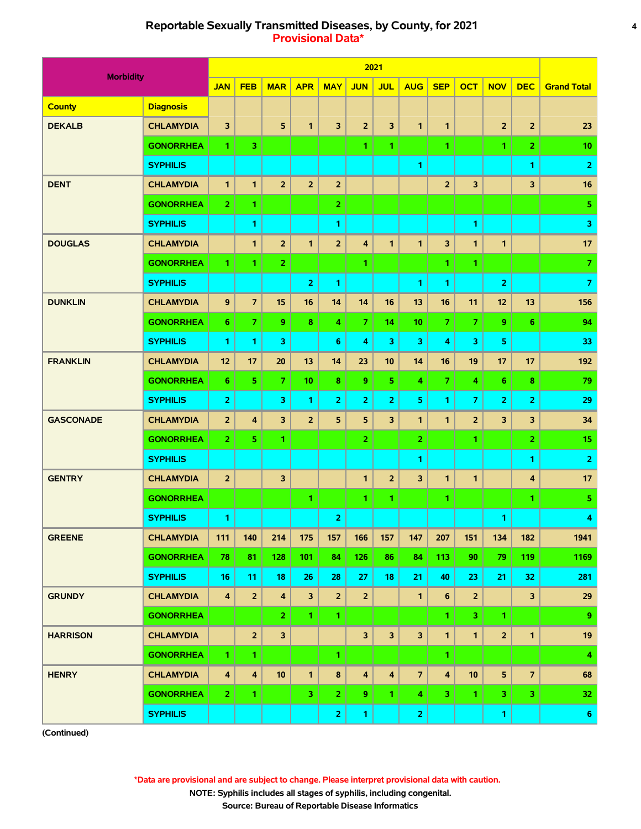# **Reportable Sexually Transmitted Diseases, by County, for 2021 4 Provisional Data\***

|                  |                  |                         |                         |                         |                |                         |                         | 2021                    |                         |                         |                         |                         |                         |                         |
|------------------|------------------|-------------------------|-------------------------|-------------------------|----------------|-------------------------|-------------------------|-------------------------|-------------------------|-------------------------|-------------------------|-------------------------|-------------------------|-------------------------|
| <b>Morbidity</b> |                  | <b>JAN</b>              | <b>FEB</b>              | <b>MAR</b>              | <b>APR</b>     | <b>MAY</b>              | <b>JUN</b>              | <b>JUL</b>              | <b>AUG</b>              | <b>SEP</b>              | <b>OCT</b>              | <b>NOV</b>              | <b>DEC</b>              | <b>Grand Total</b>      |
| <b>County</b>    | <b>Diagnosis</b> |                         |                         |                         |                |                         |                         |                         |                         |                         |                         |                         |                         |                         |
| <b>DEKALB</b>    | <b>CHLAMYDIA</b> | 3                       |                         | 5                       | $\mathbf{1}$   | 3                       | $\overline{2}$          | 3                       | $\mathbf{1}$            | $\mathbf{1}$            |                         | $\overline{2}$          | $\overline{2}$          | 23                      |
|                  | <b>GONORRHEA</b> | 1.                      | 3                       |                         |                |                         | 1                       | 1.                      |                         | 1                       |                         | 1.                      | $\mathbf{z}$            | 10                      |
|                  | <b>SYPHILIS</b>  |                         |                         |                         |                |                         |                         |                         | 1                       |                         |                         |                         | 1                       | $\overline{2}$          |
| <b>DENT</b>      | <b>CHLAMYDIA</b> | $\mathbf{1}$            | $\mathbf{1}$            | $\overline{2}$          | 2 <sup>2</sup> | $\overline{2}$          |                         |                         |                         | $\overline{2}$          | $\overline{\mathbf{3}}$ |                         | 3                       | 16                      |
|                  | <b>GONORRHEA</b> | $\overline{2}$          | 1                       |                         |                | $\overline{2}$          |                         |                         |                         |                         |                         |                         |                         | $\overline{\mathbf{5}}$ |
|                  | <b>SYPHILIS</b>  |                         | 1                       |                         |                | 1                       |                         |                         |                         |                         | 1                       |                         |                         | 3                       |
| <b>DOUGLAS</b>   | <b>CHLAMYDIA</b> |                         | 1                       | $\overline{2}$          | $\mathbf{1}$   | $\overline{2}$          | 4                       | $\mathbf{1}$            | $\mathbf{1}$            | $\overline{\mathbf{3}}$ | $\mathbf{1}$            | $\mathbf{1}$            |                         | 17                      |
|                  | <b>GONORRHEA</b> | 1.                      | 1                       | $\overline{2}$          |                |                         | 1.                      |                         |                         | 1.                      | 1.                      |                         |                         | $\overline{7}$          |
|                  | <b>SYPHILIS</b>  |                         |                         |                         | 2              | $\mathbf{1}$            |                         |                         | 1                       | 1                       |                         | $\overline{\mathbf{2}}$ |                         | $\overline{7}$          |
| <b>DUNKLIN</b>   | <b>CHLAMYDIA</b> | 9                       | $\overline{7}$          | 15                      | 16             | 14                      | 14                      | 16                      | 13                      | 16                      | 11                      | 12                      | 13                      | 156                     |
|                  | <b>GONORRHEA</b> | 6                       | $\overline{7}$          | 9                       | 8              | 4                       | $\overline{7}$          | 14                      | 10                      | $\overline{7}$          | $\overline{7}$          | 9                       | 6                       | 94                      |
|                  | <b>SYPHILIS</b>  | 1.                      | 1                       | 3                       |                | 6                       | 4                       | 3                       | 3                       | 4                       | $\overline{\mathbf{3}}$ | 5                       |                         | 33                      |
| <b>FRANKLIN</b>  | <b>CHLAMYDIA</b> | 12                      | 17                      | 20                      | 13             | 14                      | 23                      | 10                      | 14                      | 16                      | 19                      | 17                      | 17                      | 192                     |
|                  | <b>GONORRHEA</b> | 6                       | 5                       | $\overline{7}$          | 10             | 8                       | 9                       | 5.                      | 4                       | $\overline{7}$          | 4                       | $6\phantom{1}$          | 8                       | 79                      |
|                  | <b>SYPHILIS</b>  | $\overline{2}$          |                         | 3                       | 1              | $\overline{2}$          | $\overline{2}$          | $\overline{2}$          | 5                       | 1                       | $\overline{7}$          | $\overline{2}$          | $\overline{2}$          | 29                      |
| <b>GASCONADE</b> | <b>CHLAMYDIA</b> | $\overline{2}$          | $\overline{\mathbf{4}}$ | 3                       | $\overline{2}$ | 5                       | 5                       | 3                       | $\mathbf{1}$            | $\mathbf{1}$            | $\overline{2}$          | 3                       | 3                       | 34                      |
|                  | <b>GONORRHEA</b> | $\overline{2}$          | 5                       | 1                       |                |                         | $\overline{2}$          |                         | 2 <sup>1</sup>          |                         | 1.                      |                         | $\overline{2}$          | 15                      |
|                  | <b>SYPHILIS</b>  |                         |                         |                         |                |                         |                         |                         | 1                       |                         |                         |                         | 1.                      | $\overline{2}$          |
| <b>GENTRY</b>    | <b>CHLAMYDIA</b> | $\overline{2}$          |                         | 3                       |                |                         | $\mathbf{1}$            | $\overline{2}$          | 3                       | $\mathbf{1}$            | $\mathbf{1}$            |                         | $\overline{\mathbf{4}}$ | 17                      |
|                  | <b>GONORRHEA</b> |                         |                         |                         | 1.             |                         | 1                       | 1.                      |                         | 1.                      |                         |                         | 1.                      | $\overline{\mathbf{5}}$ |
|                  | <b>SYPHILIS</b>  | 1                       |                         |                         |                | $\overline{2}$          |                         |                         |                         |                         |                         | 1                       |                         | 4                       |
| <b>GREENE</b>    | <b>CHLAMYDIA</b> | 111                     | 140                     | 214                     | 175            | 157                     | 166                     | 157                     | 147                     | 207                     | 151                     | 134                     | 182                     | 1941                    |
|                  | <b>GONORRHEA</b> | 78                      | 81                      | 128                     | 101            | 84                      | 126                     | 86                      | 84                      | 113                     | 90                      | 79                      | 119                     | 1169                    |
|                  | <b>SYPHILIS</b>  | 16                      | 11                      | 18                      | 26             | 28                      | 27                      | 18                      | 21                      | 40                      | 23                      | 21                      | 32                      | 281                     |
| <b>GRUNDY</b>    | <b>CHLAMYDIA</b> | $\overline{\mathbf{4}}$ | $\overline{2}$          | $\overline{\mathbf{4}}$ | $\mathbf{3}$   | $\overline{2}$          | $\overline{2}$          |                         | $\mathbf{1}$            | 6                       | $\overline{2}$          |                         | $\mathbf{3}$            | 29                      |
|                  | <b>GONORRHEA</b> |                         |                         | $\overline{2}$          | $\mathbf{1}$   | 1.                      |                         |                         |                         | 1.                      | 3 <sub>1</sub>          | $\mathbf{1}$            |                         | 9                       |
| <b>HARRISON</b>  | <b>CHLAMYDIA</b> |                         | $\overline{2}$          | $\overline{\mathbf{3}}$ |                |                         | 3                       | $\overline{\mathbf{3}}$ | $\overline{\mathbf{3}}$ | $\mathbf{1}$            | $\mathbf{1}$            | $\overline{2}$          | $\mathbf{1}$            | 19                      |
|                  | <b>GONORRHEA</b> | $\mathbf{1}$            | 1.                      |                         |                | $\mathbf{1}$            |                         |                         |                         | 1.                      |                         |                         |                         | $\overline{4}$          |
| <b>HENRY</b>     | <b>CHLAMYDIA</b> | $\overline{\mathbf{4}}$ | $\overline{\mathbf{4}}$ | 10                      | $\mathbf{1}$   | $\pmb{8}$               | $\overline{\mathbf{4}}$ | $\overline{\mathbf{4}}$ | $\overline{z}$          | $\overline{\mathbf{4}}$ | 10                      | 5                       | $\overline{7}$          | 68                      |
|                  | <b>GONORRHEA</b> | 2 <sub>1</sub>          | 1.                      |                         | $\mathbf{3}$   | $\mathbf{2}$            | 9                       | $\mathbf{1}$            | 4                       | 3                       | $\mathbf{1}$            | 3                       | 3 <sub>1</sub>          | 32                      |
|                  | <b>SYPHILIS</b>  |                         |                         |                         |                | $\overline{\mathbf{2}}$ | $\mathbf{1}$            |                         | $\overline{2}$          |                         |                         | $\mathbf{1}$            |                         | 6 <sub>1</sub>          |

**(Continued)**

 **\*Data are provisional and are subject to change. Please interpret provisional data with caution.**

 **NOTE: Syphilis includes all stages of syphilis, including congenital.**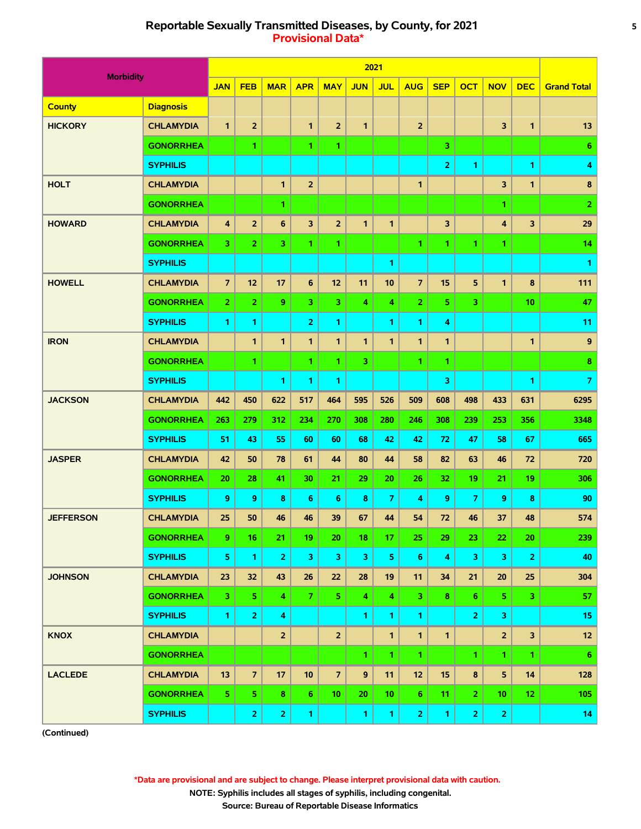# **Reportable Sexually Transmitted Diseases, by County, for 2021 5 Provisional Data\***

| <b>Morbidity</b> |                  |                         |                |                |                         |                         |              | 2021         |                 |                         |                |                |                |                    |
|------------------|------------------|-------------------------|----------------|----------------|-------------------------|-------------------------|--------------|--------------|-----------------|-------------------------|----------------|----------------|----------------|--------------------|
|                  |                  | <b>JAN</b>              | <b>FEB</b>     | <b>MAR</b>     | <b>APR</b>              | <b>MAY</b>              | <b>JUN</b>   | <b>JUL</b>   | <b>AUG</b>      | <b>SEP</b>              | <b>OCT</b>     | <b>NOV</b>     | <b>DEC</b>     | <b>Grand Total</b> |
| <b>County</b>    | <b>Diagnosis</b> |                         |                |                |                         |                         |              |              |                 |                         |                |                |                |                    |
| <b>HICKORY</b>   | <b>CHLAMYDIA</b> | $\mathbf{1}$            | $\overline{2}$ |                | 1                       | $\overline{2}$          | $\mathbf{1}$ |              | $\overline{2}$  |                         |                | 3              | 1              | 13                 |
|                  | <b>GONORRHEA</b> |                         | 1              |                | 1                       | 1.                      |              |              |                 | 3                       |                |                |                | 6                  |
|                  | <b>SYPHILIS</b>  |                         |                |                |                         |                         |              |              |                 | $\overline{2}$          | 1              |                | 1              | 4                  |
| <b>HOLT</b>      | <b>CHLAMYDIA</b> |                         |                | 1              | $\overline{2}$          |                         |              |              | 1               |                         |                | 3              | 1              | 8                  |
|                  | <b>GONORRHEA</b> |                         |                | 1              |                         |                         |              |              |                 |                         |                | 1.             |                | $\overline{2}$     |
| <b>HOWARD</b>    | <b>CHLAMYDIA</b> | $\overline{\mathbf{4}}$ | $\overline{2}$ | 6              | 3                       | $\overline{2}$          | $\mathbf{1}$ | 1            |                 | $\overline{\mathbf{3}}$ |                | 4              | 3              | 29                 |
|                  | <b>GONORRHEA</b> | 3                       | $\overline{2}$ | 3              | 1                       | $\mathbf{1}$            |              |              | $\mathbf{1}$    | 1                       | 1              | 1              |                | 14                 |
|                  | <b>SYPHILIS</b>  |                         |                |                |                         |                         |              | 1            |                 |                         |                |                |                | 1                  |
| <b>HOWELL</b>    | <b>CHLAMYDIA</b> | $\overline{7}$          | 12             | 17             | $6\phantom{1}$          | 12                      | 11           | 10           | $\overline{7}$  | 15                      | 5              | 1              | 8              | 111                |
|                  | <b>GONORRHEA</b> | $\overline{2}$          | $\overline{2}$ | 9              | $\overline{\mathbf{3}}$ | 3                       | 4            | 4            | 2 <sup>1</sup>  | 5                       | 3              |                | 10             | 47                 |
|                  | <b>SYPHILIS</b>  | 1.                      | 1              |                | 2                       | 1                       |              | 1            | 1               | 4                       |                |                |                | 11                 |
| <b>IRON</b>      | <b>CHLAMYDIA</b> |                         | 1              | 1              | 1                       | 1                       | 1            | 1.           | 1               | 1                       |                |                | 1              | 9                  |
|                  | <b>GONORRHEA</b> |                         | 1              |                | 1                       | 1.                      | 3.           |              | 1.              | 1                       |                |                |                | 8                  |
|                  | <b>SYPHILIS</b>  |                         |                | 1              | 1                       | 1                       |              |              |                 | 3                       |                |                | 1.             | $\overline{7}$     |
| <b>JACKSON</b>   | <b>CHLAMYDIA</b> | 442                     | 450            | 622            | 517                     | 464                     | 595          | 526          | 509             | 608                     | 498            | 433            | 631            | 6295               |
|                  | <b>GONORRHEA</b> | 263                     | 279            | 312            | 234                     | 270                     | 308          | 280          | 246             | 308                     | 239            | 253            | 356            | 3348               |
|                  | <b>SYPHILIS</b>  | 51                      | 43             | 55             | 60                      | 60                      | 68           | 42           | 42              | 72                      | 47             | 58             | 67             | 665                |
| <b>JASPER</b>    | <b>CHLAMYDIA</b> | 42                      | 50             | 78             | 61                      | 44                      | 80           | 44           | 58              | 82                      | 63             | 46             | 72             | 720                |
|                  | <b>GONORRHEA</b> | 20                      | 28             | 41             | 30                      | 21                      | 29           | 20           | 26              | 32                      | 19             | 21             | 19             | 306                |
|                  | <b>SYPHILIS</b>  | 9                       | 9              | 8              | 6                       | 6                       | 8            | 7            | 4               | 9                       | 7              | 9              | 8              | 90                 |
| <b>JEFFERSON</b> | <b>CHLAMYDIA</b> | 25                      | 50             | 46             | 46                      | 39                      | 67           | 44           | 54              | 72                      | 46             | 37             | 48             | 574                |
|                  | <b>GONORRHEA</b> | 9                       | 16             | 21             | 19                      | 20                      | 18           | 17           | 25              | 29                      | 23             | 22             | 20             | 239                |
|                  | <b>SYPHILIS</b>  | 5                       | $\mathbf{1}$   | $\overline{2}$ | 3                       | 3                       | 3            | 5            | $\bf 6$         | 4                       | 3              | 3              | $\overline{2}$ | 40                 |
| <b>JOHNSON</b>   | <b>CHLAMYDIA</b> | 23                      | 32             | 43             | 26                      | 22                      | 28           | 19           | 11              | 34                      | 21             | 20             | 25             | 304                |
|                  | <b>GONORRHEA</b> | 3                       | 5.             | 4              | $\overline{7}$          | 5 <sub>1</sub>          | 4            | 4            | 3 <sup>1</sup>  | 8                       | 6              | 5              | 3              | 57                 |
|                  | <b>SYPHILIS</b>  | $\mathbf{1}$            | $\overline{2}$ | 4              |                         |                         | 1.           | 1.           | 1.              |                         | $\overline{2}$ | 3              |                | 15                 |
| <b>KNOX</b>      | <b>CHLAMYDIA</b> |                         |                | $\overline{2}$ |                         | $\overline{\mathbf{2}}$ |              | $\mathbf{1}$ | $\mathbf{1}$    | $\mathbf{1}$            |                | $\overline{2}$ | 3              | $12 \overline{ }$  |
|                  | <b>GONORRHEA</b> |                         |                |                |                         |                         | 1.           | 1.           | $\mathbf{1}$    |                         | $\mathbf{1}$   | $\mathbf{1}$   | 1.             | 6                  |
| <b>LACLEDE</b>   | <b>CHLAMYDIA</b> | 13                      | $\overline{7}$ | 17             | 10                      | $\overline{7}$          | 9            | 11           | 12 <sub>2</sub> | 15                      | 8              | 5              | 14             | 128                |
|                  | <b>GONORRHEA</b> | 5.                      | 5.             | 8              | 6 <sub>1</sub>          | 10 <sub>1</sub>         | 20           | 10           | 6 <sub>1</sub>  | 11                      | $\mathbf{2}$   | 10             | 12             | 105                |
|                  | <b>SYPHILIS</b>  |                         | $\mathbf{2}$   | $\overline{2}$ | 1                       |                         | $\mathbf{1}$ | 1            | $\mathbf{2}$    | $\mathbf{1}$            | $\overline{2}$ | $\mathbf{2}$   |                | 14                 |

**(Continued)**

 **\*Data are provisional and are subject to change. Please interpret provisional data with caution.**

 **NOTE: Syphilis includes all stages of syphilis, including congenital.**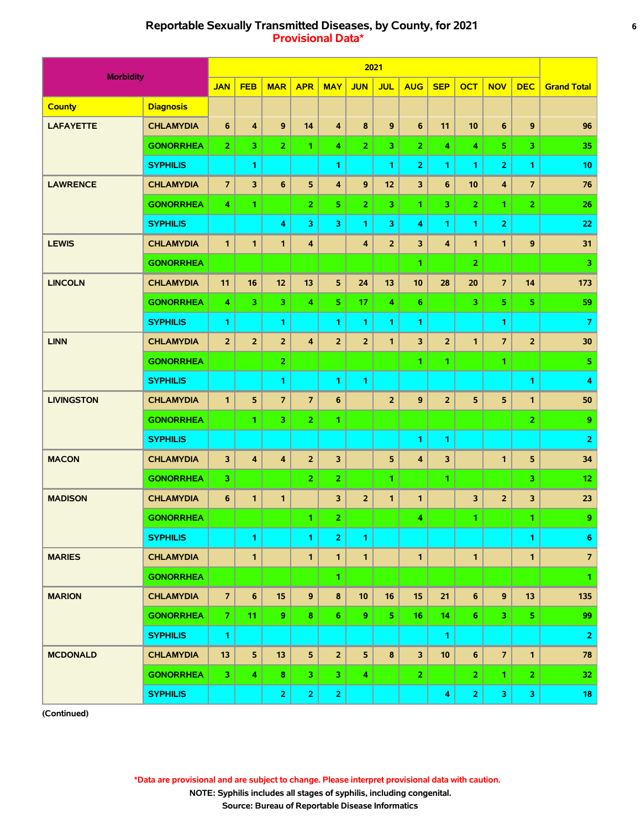# **Reportable Sexually Transmitted Diseases, by County, for 2021 6 Provisional Data\***

|                   |                  |                |                |                  |                         |                         |                | 2021           |                |                         |                         |                  |                |                    |
|-------------------|------------------|----------------|----------------|------------------|-------------------------|-------------------------|----------------|----------------|----------------|-------------------------|-------------------------|------------------|----------------|--------------------|
| <b>Morbidity</b>  |                  | <b>JAN</b>     | <b>FEB</b>     | <b>MAR</b>       | <b>APR</b>              | <b>MAY</b>              | <b>JUN</b>     | <b>JUL</b>     | <b>AUG</b>     | <b>SEP</b>              | <b>OCT</b>              | <b>NOV</b>       | <b>DEC</b>     | <b>Grand Total</b> |
| <b>County</b>     | <b>Diagnosis</b> |                |                |                  |                         |                         |                |                |                |                         |                         |                  |                |                    |
| <b>LAFAYETTE</b>  | <b>CHLAMYDIA</b> | $6\phantom{1}$ | 4              | $\boldsymbol{9}$ | 14                      | $\overline{\mathbf{4}}$ | 8              | 9              | 6              | 11                      | 10                      | $\bf 6$          | $\mathbf{9}$   | 96                 |
|                   | <b>GONORRHEA</b> | $\overline{2}$ | 3              | $\overline{2}$   | 1.                      | 4                       | $\overline{2}$ | 3.             | $\overline{2}$ | 4                       | 4                       | 5                | $\overline{3}$ | 35                 |
|                   | <b>SYPHILIS</b>  |                | 1              |                  |                         | 1                       |                | 1              | $\overline{2}$ | 1                       | 1                       | $\overline{2}$   | 1.             | 10                 |
| <b>LAWRENCE</b>   | <b>CHLAMYDIA</b> | $\overline{7}$ | 3              | $6\phantom{1}$   | 5                       | $\overline{\mathbf{4}}$ | 9              | 12             | 3              | $6\phantom{1}6$         | 10                      | 4                | $\overline{7}$ | 76                 |
|                   | <b>GONORRHEA</b> | 4              | 1              |                  | $\overline{2}$          | 5.                      | $\overline{2}$ | 3.             | 1.             | 3                       | $\overline{2}$          | 1                | $\overline{2}$ | 26                 |
|                   | <b>SYPHILIS</b>  |                |                | 4                | 3                       | 3                       | 1              | 3              | 4              | 1                       | 1                       | 2                |                | 22                 |
| <b>LEWIS</b>      | <b>CHLAMYDIA</b> | $\mathbf{1}$   | $\mathbf{1}$   | $\mathbf{1}$     | $\overline{\mathbf{4}}$ |                         | 4              | $\overline{2}$ | 3              | $\overline{\mathbf{4}}$ | 1                       | $\mathbf{1}$     | 9              | 31                 |
|                   | <b>GONORRHEA</b> |                |                |                  |                         |                         |                |                | 1.             |                         | $\overline{2}$          |                  |                | 3                  |
| <b>LINCOLN</b>    | <b>CHLAMYDIA</b> | 11             | 16             | 12               | 13                      | 5                       | 24             | 13             | 10             | 28                      | 20                      | $\overline{7}$   | 14             | 173                |
|                   | <b>GONORRHEA</b> | 4              | 3              | 3                | $\overline{\bf 4}$      | 5.                      | 17             | 4              | 6              |                         | 3                       | 5                | 5              | 59                 |
|                   | <b>SYPHILIS</b>  | 1              |                | 1                |                         | 1                       | 1              | 1              | 1              |                         |                         | 1                |                | $\overline{7}$     |
| <b>LINN</b>       | <b>CHLAMYDIA</b> | 2 <sup>2</sup> | $\overline{2}$ | $\overline{2}$   | $\overline{\mathbf{4}}$ | $\overline{2}$          | $\overline{2}$ | $\mathbf{1}$   | 3              | $\overline{2}$          | $\mathbf{1}$            | $\overline{7}$   | $\overline{2}$ | 30                 |
|                   | <b>GONORRHEA</b> |                |                | $\overline{2}$   |                         |                         |                |                | 1.             | 1                       |                         | 1                |                | 5                  |
|                   | <b>SYPHILIS</b>  |                |                | 1                |                         | 1                       | 1              |                |                |                         |                         |                  | 1              | 4                  |
| <b>LIVINGSTON</b> | <b>CHLAMYDIA</b> | $\mathbf{1}$   | 5              | $\overline{7}$   | $\overline{7}$          | $6\phantom{1}$          |                | $\overline{2}$ | 9              | $\overline{2}$          | 5                       | 5                | $\mathbf{1}$   | 50                 |
|                   | <b>GONORRHEA</b> |                | 1              | 3                | $\overline{2}$          | 1.                      |                |                |                |                         |                         |                  | $\overline{2}$ | 9                  |
|                   | <b>SYPHILIS</b>  |                |                |                  |                         |                         |                |                | 1              | 1                       |                         |                  |                | $\overline{2}$     |
| <b>MACON</b>      | <b>CHLAMYDIA</b> | 3              | 4              | $\boldsymbol{4}$ | $\overline{2}$          | 3                       |                | 5              | 4              | 3                       |                         | 1                | 5              | 34                 |
|                   | <b>GONORRHEA</b> | 3.             |                |                  | $\overline{2}$          | $\overline{2}$          |                | 1.             |                | 1                       |                         |                  | 3              | 12                 |
| <b>MADISON</b>    | <b>CHLAMYDIA</b> | 6              | 1              | $\mathbf{1}$     |                         | 3                       | $\overline{2}$ | $\mathbf{1}$   | 1              |                         | 3                       | $\overline{2}$   | 3              | 23                 |
|                   | <b>GONORRHEA</b> |                |                |                  | 1                       | $\mathbf{2}$            |                |                | 4              |                         | 1                       |                  | 1.             | 9                  |
|                   | <b>SYPHILIS</b>  |                | 1              |                  | 1.                      | $\overline{2}$          | $\mathbf{1}$   |                |                |                         |                         |                  | 1.             | $\bf 6$            |
| <b>MARIES</b>     | <b>CHLAMYDIA</b> |                | 1              |                  | $\mathbf{1}$            | $\mathbf{1}$            | $\mathbf{1}$   |                | $\mathbf{1}$   |                         | $\mathbf{1}$            |                  | $\mathbf{1}$   | $\overline{z}$     |
|                   | <b>GONORRHEA</b> |                |                |                  |                         | $\mathbf{1}$            |                |                |                |                         |                         |                  |                | 1.                 |
| <b>MARION</b>     | <b>CHLAMYDIA</b> | $\overline{7}$ | 6              | 15               | 9                       | $\pmb{8}$               | 10             | 16             | 15             | 21                      | 6                       | $\boldsymbol{9}$ | 13             | 135                |
|                   | <b>GONORRHEA</b> | 7 <sup>1</sup> | 11             | 9                | 8                       | 6.                      | 9              | 5.             | 16             | 14                      | 6.                      | 3                | 5 <sub>1</sub> | 99                 |
|                   | <b>SYPHILIS</b>  | $\mathbf{1}$   |                |                  |                         |                         |                |                |                | 1                       |                         |                  |                | $\overline{2}$     |
| <b>MCDONALD</b>   | <b>CHLAMYDIA</b> | 13             | 5              | 13               | 5 <sub>5</sub>          | $\overline{2}$          | 5              | 8              | 3              | 10                      | $6\phantom{1}$          | $\overline{7}$   | $\mathbf{1}$   | 78                 |
|                   | <b>GONORRHEA</b> | 3 <sup>1</sup> | 4              | 8                | 3                       | 3                       | 4              |                | 2 <sup>1</sup> |                         | $\mathbf{2}$            | $\mathbf{1}$     | $\mathbf{2}$   | 32                 |
|                   | <b>SYPHILIS</b>  |                |                | $\overline{2}$   | $\mathbf{2}$            | $\mathbf{2}$            |                |                |                | 4                       | $\overline{\mathbf{2}}$ | 3                | 3              | 18                 |

**(Continued)**

 **\*Data are provisional and are subject to change. Please interpret provisional data with caution.**

 **NOTE: Syphilis includes all stages of syphilis, including congenital.**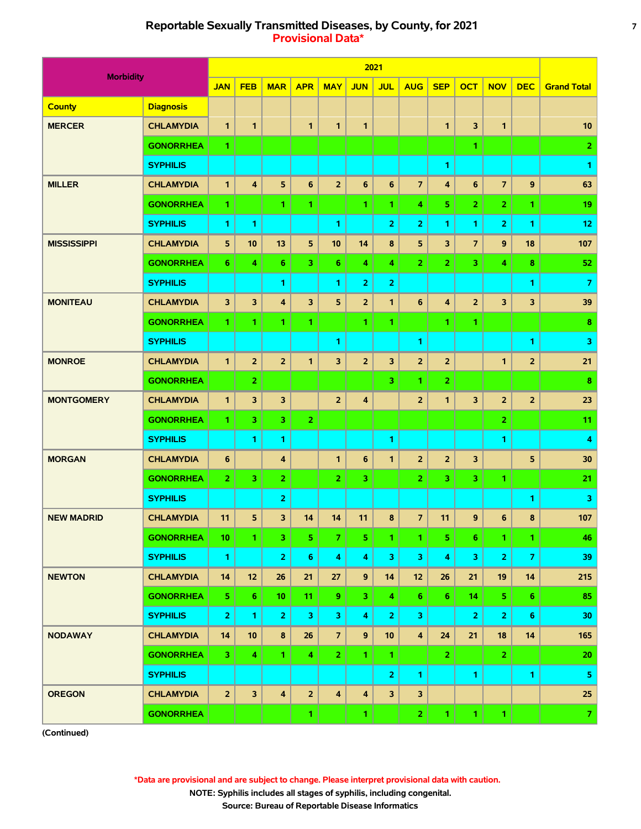# **Reportable Sexually Transmitted Diseases, by County, for 2021 7 Provisional Data\***

|                    |                  |                         |                |                         |                |                         |                         | 2021           |                         |                         |                |                         |                |                    |
|--------------------|------------------|-------------------------|----------------|-------------------------|----------------|-------------------------|-------------------------|----------------|-------------------------|-------------------------|----------------|-------------------------|----------------|--------------------|
| <b>Morbidity</b>   |                  | <b>JAN</b>              | <b>FEB</b>     | <b>MAR</b>              | <b>APR</b>     | <b>MAY</b>              | <b>JUN</b>              | <b>JUL</b>     | <b>AUG</b>              | <b>SEP</b>              | <b>OCT</b>     | <b>NOV</b>              | <b>DEC</b>     | <b>Grand Total</b> |
| <b>County</b>      | <b>Diagnosis</b> |                         |                |                         |                |                         |                         |                |                         |                         |                |                         |                |                    |
| <b>MERCER</b>      | <b>CHLAMYDIA</b> | $\mathbf{1}$            | $\mathbf{1}$   |                         | $\mathbf{1}$   | 1                       | $\mathbf{1}$            |                |                         | $\mathbf{1}$            | 3              | $\mathbf{1}$            |                | 10                 |
|                    | <b>GONORRHEA</b> | 1.                      |                |                         |                |                         |                         |                |                         |                         | 1              |                         |                | $\overline{2}$     |
|                    | <b>SYPHILIS</b>  |                         |                |                         |                |                         |                         |                |                         | 1                       |                |                         |                | 1                  |
| <b>MILLER</b>      | <b>CHLAMYDIA</b> | $\mathbf{1}$            | $\overline{4}$ | 5                       | $6\phantom{1}$ | $\overline{2}$          | 6                       | $6\phantom{a}$ | $\overline{7}$          | $\overline{\mathbf{4}}$ | $6\phantom{1}$ | $\overline{7}$          | $\mathbf{9}$   | 63                 |
|                    | <b>GONORRHEA</b> | $\mathbf{1}$            |                | 1                       | 1              |                         | 1                       | 1.             | 4                       | 5                       | 2              | 2                       | 1.             | 19                 |
|                    | <b>SYPHILIS</b>  | 1.                      | 1              |                         |                | 1                       |                         | $\overline{2}$ | 2                       | 1                       | 1              | $\overline{2}$          | 1              | 12                 |
| <b>MISSISSIPPI</b> | <b>CHLAMYDIA</b> | 5                       | 10             | 13                      | 5              | 10                      | 14                      | 8              | 5                       | 3                       | $\overline{7}$ | 9                       | 18             | 107                |
|                    | <b>GONORRHEA</b> | 6                       | 4              | 6                       | $\overline{3}$ | 6                       | 4                       | 4              | $\overline{2}$          | $\overline{2}$          | 3              | 4                       | 8              | 52                 |
|                    | <b>SYPHILIS</b>  |                         |                | 1                       |                | 1                       | 2                       | 2              |                         |                         |                |                         | 1              | 7                  |
| <b>MONITEAU</b>    | <b>CHLAMYDIA</b> | $\overline{\mathbf{3}}$ | 3              | 4                       | 3              | 5                       | $\overline{2}$          | $\mathbf{1}$   | 6                       | 4                       | $\overline{2}$ | 3                       | 3              | 39                 |
|                    | <b>GONORRHEA</b> | 1.                      | 1              | 1                       | 1              |                         | 1                       | 1.             |                         | 1                       | 1              |                         |                | 8                  |
|                    | <b>SYPHILIS</b>  |                         |                |                         |                | 1.                      |                         |                | 1                       |                         |                |                         | 1              | 3                  |
| <b>MONROE</b>      | <b>CHLAMYDIA</b> | $\mathbf{1}$            | $\overline{2}$ | $\overline{2}$          | 1              | 3                       | $\overline{2}$          | 3              | $\overline{2}$          | $\overline{2}$          |                | 1                       | $\overline{2}$ | 21                 |
|                    | <b>GONORRHEA</b> |                         | $\overline{2}$ |                         |                |                         |                         | 3.             | 1.                      | $\overline{2}$          |                |                         |                | 8                  |
| <b>MONTGOMERY</b>  | <b>CHLAMYDIA</b> | $\mathbf{1}$            | 3              | 3                       |                | $\overline{2}$          | 4                       |                | $\overline{2}$          | $\mathbf{1}$            | 3              | $\overline{2}$          | $\overline{2}$ | 23                 |
|                    | <b>GONORRHEA</b> | 1.                      | 3              | 3                       | $\overline{2}$ |                         |                         |                |                         |                         |                | $\overline{2}$          |                | 11                 |
|                    | <b>SYPHILIS</b>  |                         | 1              | 1                       |                |                         |                         | 1              |                         |                         |                | 1                       |                | 4                  |
| <b>MORGAN</b>      | <b>CHLAMYDIA</b> | 6                       |                | 4                       |                | 1                       | 6                       | 1              | $\overline{2}$          | $\overline{2}$          | 3              |                         | 5              | 30                 |
|                    | <b>GONORRHEA</b> | $\overline{2}$          | 3              | $\overline{2}$          |                | $\overline{2}$          | 3.                      |                | 2                       | 3                       | 3.             | $\mathbf{1}$            |                | 21                 |
|                    | <b>SYPHILIS</b>  |                         |                | $\overline{2}$          |                |                         |                         |                |                         |                         |                |                         | 1              | 3                  |
| <b>NEW MADRID</b>  | <b>CHLAMYDIA</b> | 11                      | 5              | 3                       | 14             | 14                      | 11                      | 8              | $\overline{7}$          | 11                      | 9              | $6\phantom{1}$          | 8              | 107                |
|                    | <b>GONORRHEA</b> | 10                      | 1              | 3                       | 5              | 7 <sup>1</sup>          | 5                       | 1.             | 1.                      | 5                       | 6              | $\mathbf{1}$            | $\mathbf{1}$   | 46                 |
|                    | <b>SYPHILIS</b>  | $\mathbf{1}$            |                | $\mathbf 2$             | 6              | 4                       | 4                       | 3              | $\mathbf{3}$            | 4                       | 3              | $\overline{2}$          | $\overline{z}$ | 39                 |
| <b>NEWTON</b>      | <b>CHLAMYDIA</b> | 14                      | 12             | 26                      | 21             | 27                      | 9                       | 14             | 12                      | 26                      | 21             | 19                      | 14             | 215                |
|                    | <b>GONORRHEA</b> | 5                       | 6              | 10                      | 11             | 9                       | 3.                      | 4              | 6 <sup>1</sup>          | 6                       | 14             | $\overline{\mathbf{5}}$ | 6              | 85                 |
|                    | <b>SYPHILIS</b>  | $\overline{2}$          | $\mathbf{1}$   | $\overline{2}$          | 3              | 3                       | 4                       | $\overline{2}$ | 3                       |                         | $\overline{2}$ | $\overline{2}$          | $6\phantom{1}$ | 30                 |
| <b>NODAWAY</b>     | <b>CHLAMYDIA</b> | 14                      | 10             | $\boldsymbol{8}$        | 26             | $\overline{7}$          | 9                       | 10             | $\overline{\mathbf{4}}$ | 24                      | 21             | 18                      | 14             | 165                |
|                    | <b>GONORRHEA</b> | 3                       | 4              | 1                       | 4              | $\mathbf{2}$            | 1.                      | $\mathbf{1}$   |                         | $\overline{2}$          |                | $\mathbf{2}$            |                | 20                 |
|                    | <b>SYPHILIS</b>  |                         |                |                         |                |                         |                         | 2 <sup>1</sup> | $\mathbf{1}$            |                         | $\mathbf{1}$   |                         | $\mathbf{1}$   | ${\bf 5}$          |
| <b>OREGON</b>      | <b>CHLAMYDIA</b> | $\overline{2}$          | $\mathbf{3}$   | $\overline{\mathbf{4}}$ | $\overline{2}$ | $\overline{\mathbf{4}}$ | $\overline{\mathbf{4}}$ | 3              | $\overline{\mathbf{3}}$ |                         |                |                         |                | 25                 |
|                    | <b>GONORRHEA</b> |                         |                |                         | $\mathbf{1}$   |                         | $\mathbf{1}$            |                | 2 <sub>1</sub>          | $\mathbf{1}$            | $\mathbf{1}$   | $\mathbf{1}$            |                | 7 <sup>1</sup>     |

**(Continued)**

 **\*Data are provisional and are subject to change. Please interpret provisional data with caution.**

 **NOTE: Syphilis includes all stages of syphilis, including congenital.**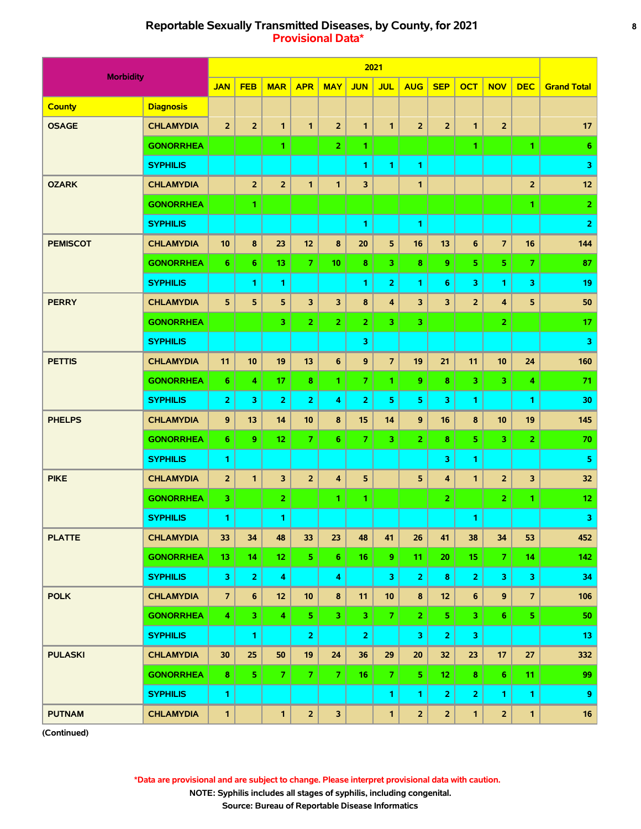# **Reportable Sexually Transmitted Diseases, by County, for 2021 8 Provisional Data\***

|                  |                  |                |                |                    |                         |                         |                | 2021                    |                 |                         |                         |                         |                |                    |
|------------------|------------------|----------------|----------------|--------------------|-------------------------|-------------------------|----------------|-------------------------|-----------------|-------------------------|-------------------------|-------------------------|----------------|--------------------|
| <b>Morbidity</b> |                  | <b>JAN</b>     | <b>FEB</b>     | <b>MAR</b>         | <b>APR</b>              | <b>MAY</b>              | <b>JUN</b>     | <b>JUL</b>              | <b>AUG</b>      | <b>SEP</b>              | <b>OCT</b>              | <b>NOV</b>              | <b>DEC</b>     | <b>Grand Total</b> |
| <b>County</b>    | <b>Diagnosis</b> |                |                |                    |                         |                         |                |                         |                 |                         |                         |                         |                |                    |
| <b>OSAGE</b>     | <b>CHLAMYDIA</b> | $\overline{2}$ | $\overline{2}$ | $\mathbf{1}$       | $\mathbf{1}$            | $\overline{2}$          | $\mathbf{1}$   | $\mathbf{1}$            | $\overline{2}$  | $\overline{2}$          | $\mathbf{1}$            | $\overline{2}$          |                | 17                 |
|                  | <b>GONORRHEA</b> |                |                | 1                  |                         | $\mathbf{2}$            | 1.             |                         |                 |                         | 1                       |                         | 1.             | 6                  |
|                  | <b>SYPHILIS</b>  |                |                |                    |                         |                         | 1              | 1.                      | 1.              |                         |                         |                         |                | 3                  |
| <b>OZARK</b>     | <b>CHLAMYDIA</b> |                | $\overline{2}$ | $\overline{2}$     | $\mathbf{1}$            | 1                       | 3              |                         | 1               |                         |                         |                         | $\overline{2}$ | 12                 |
|                  | <b>GONORRHEA</b> |                | 1              |                    |                         |                         |                |                         |                 |                         |                         |                         | 1.             | $\overline{2}$     |
|                  | <b>SYPHILIS</b>  |                |                |                    |                         |                         | 1              |                         | 1               |                         |                         |                         |                | $\overline{2}$     |
| <b>PEMISCOT</b>  | <b>CHLAMYDIA</b> | 10             | 8              | 23                 | 12                      | 8                       | 20             | 5                       | 16              | 13                      | 6                       | $\overline{7}$          | 16             | 144                |
|                  | <b>GONORRHEA</b> | 6              | 6              | 13                 | $\overline{7}$          | 10                      | 8              | 3                       | 8               | 9                       | 5                       | 5 <sub>1</sub>          | $\overline{7}$ | 87                 |
|                  | <b>SYPHILIS</b>  |                | 1              | 1                  |                         |                         | 1              | $\overline{2}$          | 1.              | 6                       | 3                       | $\mathbf{1}$            | 3              | 19                 |
| <b>PERRY</b>     | <b>CHLAMYDIA</b> | 5              | 5              | 5                  | 3                       | 3                       | 8              | 4                       | 3               | $\overline{\mathbf{3}}$ | $\overline{2}$          | 4                       | 5              | 50                 |
|                  | <b>GONORRHEA</b> |                |                | 3                  | $\overline{2}$          | $\overline{2}$          | $\overline{2}$ | з.                      | 3.              |                         |                         | $\overline{2}$          |                | 17                 |
|                  | <b>SYPHILIS</b>  |                |                |                    |                         |                         | 3              |                         |                 |                         |                         |                         |                | 3                  |
| <b>PETTIS</b>    | <b>CHLAMYDIA</b> | 11             | 10             | 19                 | 13                      | $6\phantom{a}$          | 9              | $\overline{7}$          | 19              | 21                      | 11                      | 10                      | 24             | 160                |
|                  | <b>GONORRHEA</b> | 6              | 4              | 17                 | 8                       | 1.                      | $\overline{7}$ | 1.                      | 9               | 8                       | 3                       | $\overline{\mathbf{3}}$ | 4              | 71                 |
|                  | <b>SYPHILIS</b>  | $\overline{2}$ | 3              | $\overline{2}$     | $\overline{2}$          | 4                       | $\overline{2}$ | 5                       | 5               | 3                       | 1                       |                         | 1              | 30                 |
| <b>PHELPS</b>    | <b>CHLAMYDIA</b> | $\mathbf{9}$   | 13             | 14                 | 10                      | 8                       | 15             | 14                      | 9               | 16                      | 8                       | 10                      | 19             | 145                |
|                  | <b>GONORRHEA</b> | 6              | 9              | 12                 | $\overline{7}$          | 6                       | $\overline{7}$ | 3.                      | 2 <sup>1</sup>  | 8                       | 5                       | 3                       | $\overline{2}$ | 70                 |
|                  | <b>SYPHILIS</b>  | 1              |                |                    |                         |                         |                |                         |                 | 3                       | 1                       |                         |                | 5                  |
| <b>PIKE</b>      | <b>CHLAMYDIA</b> | 2 <sup>2</sup> | $\mathbf{1}$   | 3                  | $\overline{2}$          | 4                       | 5              |                         | 5               | $\overline{\mathbf{4}}$ | $\mathbf{1}$            | $\overline{2}$          | 3              | 32                 |
|                  | <b>GONORRHEA</b> | 3.             |                | $\overline{2}$     |                         | 1.                      | 1.             |                         |                 | $\overline{2}$          |                         | $\overline{2}$          | $\mathbf{1}$   | 12 <sub>2</sub>    |
|                  | <b>SYPHILIS</b>  | 1              |                | 1                  |                         |                         |                |                         |                 |                         | 1                       |                         |                | 3                  |
| <b>PLATTE</b>    | <b>CHLAMYDIA</b> | 33             | 34             | 48                 | 33                      | 23                      | 48             | 41                      | 26              | 41                      | 38                      | 34                      | 53             | 452                |
|                  | <b>GONORRHEA</b> | 13             | 14             | 12 <sub>2</sub>    | 5 <sub>1</sub>          | 6 <sub>1</sub>          | 16             | 9 <sup>°</sup>          | 11 <sub>1</sub> | 20                      | 15                      | $\overline{7}$          | 14             | 142                |
|                  | <b>SYPHILIS</b>  | 3              | $\overline{2}$ | $\overline{\bf 4}$ |                         | 4                       |                | $\overline{\mathbf{3}}$ | $\overline{2}$  | 8                       | $\overline{2}$          | 3                       | 3              | 34                 |
| <b>POLK</b>      | <b>CHLAMYDIA</b> | $\overline{7}$ | $\bf 6$        | 12 <sub>2</sub>    | 10                      | $\pmb{8}$               | 11             | 10                      | 8               | 12                      | $6\phantom{1}$          | $\boldsymbol{9}$        | $\overline{7}$ | 106                |
|                  | <b>GONORRHEA</b> | 4.             | 3              | 4                  | $\overline{\mathbf{5}}$ | 3 <sub>1</sub>          | 3.             | 7 <sup>1</sup>          | 2 <sub>1</sub>  | 5                       | $\overline{\mathbf{3}}$ | 6 <sup>1</sup>          | 5 <sup>1</sup> | 50                 |
|                  | <b>SYPHILIS</b>  |                | 1              |                    | $\mathbf{2}$            |                         | $\overline{2}$ |                         | 3               | $\overline{2}$          | 3                       |                         |                | 13                 |
| <b>PULASKI</b>   | <b>CHLAMYDIA</b> | 30             | 25             | 50                 | 19                      | 24                      | 36             | 29                      | 20              | 32                      | 23                      | 17                      | 27             | 332                |
|                  | <b>GONORRHEA</b> | 8              | 5              | $\overline{7}$     | $\mathbf{7}$            | 7 <sup>1</sup>          | 16             | $\mathbf{7}$            | 5.              | 12 <sub>2</sub>         | 8                       | $6\phantom{a}$          | 11             | 99                 |
|                  | <b>SYPHILIS</b>  | $\mathbf{1}$   |                |                    |                         |                         |                | $\mathbf{1}$            | $\mathbf{1}$    | $\overline{2}$          | $\overline{2}$          | $\mathbf{1}$            | $\mathbf{1}$   | 9                  |
| <b>PUTNAM</b>    | <b>CHLAMYDIA</b> | $\mathbf{1}$   |                | $\mathbf{1}$       | $\overline{2}$          | $\overline{\mathbf{3}}$ |                | $\mathbf{1}$            | $\overline{2}$  | $\overline{2}$          | $\mathbf{1}$            | $\overline{\mathbf{2}}$ | $\mathbf{1}$   | 16                 |

**(Continued)**

 **\*Data are provisional and are subject to change. Please interpret provisional data with caution.**

 **NOTE: Syphilis includes all stages of syphilis, including congenital.**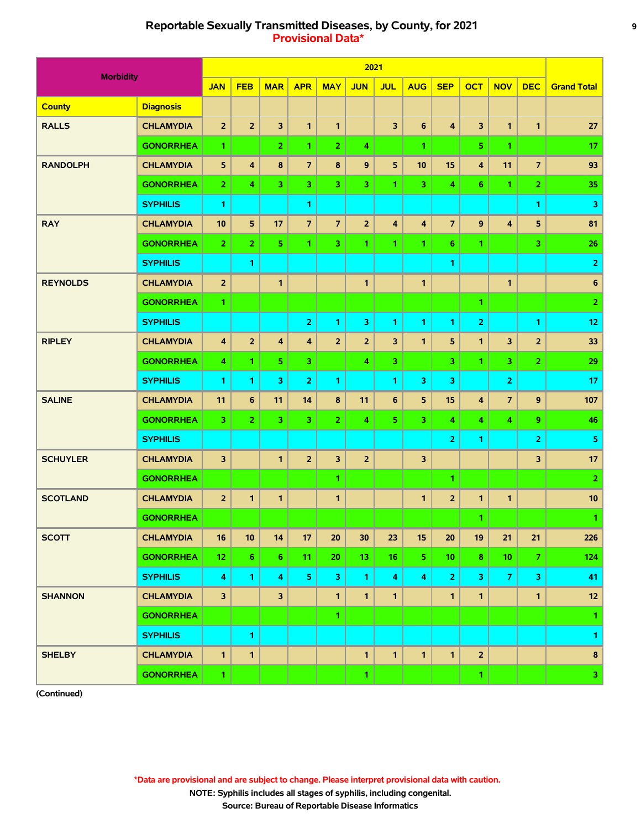# **Reportable Sexually Transmitted Diseases, by County, for 2021 9 Provisional Data\***

|                  |                  |                |                |                         |                         |                | 2021            |                         |                         |                         |                         |                         |                |                         |
|------------------|------------------|----------------|----------------|-------------------------|-------------------------|----------------|-----------------|-------------------------|-------------------------|-------------------------|-------------------------|-------------------------|----------------|-------------------------|
| <b>Morbidity</b> |                  | <b>JAN</b>     | <b>FEB</b>     | <b>MAR</b>              | <b>APR</b>              | <b>MAY</b>     | <b>JUN</b>      | <b>JUL</b>              | <b>AUG</b>              | <b>SEP</b>              | <b>OCT</b>              | <b>NOV</b>              | <b>DEC</b>     | <b>Grand Total</b>      |
| <b>County</b>    | <b>Diagnosis</b> |                |                |                         |                         |                |                 |                         |                         |                         |                         |                         |                |                         |
| <b>RALLS</b>     | <b>CHLAMYDIA</b> | $\overline{2}$ | $\overline{2}$ | 3                       | $\mathbf{1}$            | $\mathbf{1}$   |                 | $\overline{\mathbf{3}}$ | $6\phantom{a}$          | $\overline{\mathbf{4}}$ | $\overline{\mathbf{3}}$ | $\mathbf{1}$            | $\mathbf{1}$   | 27                      |
|                  | <b>GONORRHEA</b> | 1              |                | $\overline{2}$          | $\mathbf{1}$            | $\overline{2}$ | 4               |                         | 1.                      |                         | 5.                      | 1                       |                | 17                      |
| <b>RANDOLPH</b>  | <b>CHLAMYDIA</b> | 5              | 4              | 8                       | $\overline{7}$          | 8              | 9               | 5                       | 10                      | 15                      | $\overline{\mathbf{4}}$ | 11                      | $\overline{7}$ | 93                      |
|                  | <b>GONORRHEA</b> | $\overline{2}$ | 4              | 3                       | 3                       | 3              | 3               | 1.                      | $\overline{3}$          | 4                       | 6                       | 1                       | $\overline{2}$ | 35                      |
|                  | <b>SYPHILIS</b>  | 1              |                |                         | 1                       |                |                 |                         |                         |                         |                         |                         | 1.             | 3                       |
| <b>RAY</b>       | <b>CHLAMYDIA</b> | 10             | 5              | 17                      | $\overline{7}$          | $\overline{7}$ | $\overline{2}$  | $\overline{\mathbf{4}}$ | $\overline{\mathbf{4}}$ | $\overline{7}$          | $\mathbf{9}$            | $\overline{\mathbf{4}}$ | 5              | 81                      |
|                  | <b>GONORRHEA</b> | $\overline{2}$ | $\overline{2}$ | 5                       | $\mathbf{1}$            | 3              | 1               | 1.                      | 1.                      | 6                       | 1.                      |                         | 3              | 26                      |
|                  | <b>SYPHILIS</b>  |                | 1              |                         |                         |                |                 |                         |                         | 1                       |                         |                         |                | $\overline{\mathbf{2}}$ |
| <b>REYNOLDS</b>  | <b>CHLAMYDIA</b> | $\overline{2}$ |                | $\mathbf{1}$            |                         |                | $\mathbf{1}$    |                         | $\mathbf{1}$            |                         |                         | $\mathbf{1}$            |                | $\bf 6$                 |
|                  | <b>GONORRHEA</b> | 1              |                |                         |                         |                |                 |                         |                         |                         | $\mathbf{1}$            |                         |                | $\overline{2}$          |
|                  | <b>SYPHILIS</b>  |                |                |                         | $\overline{2}$          | 1              | 3               | 1.                      | 1.                      | 1                       | $\overline{2}$          |                         | 1              | 12                      |
| <b>RIPLEY</b>    | <b>CHLAMYDIA</b> | 4              | $\overline{2}$ | $\overline{\mathbf{4}}$ | $\overline{\mathbf{4}}$ | $\overline{2}$ | $\overline{2}$  | 3                       | $\mathbf{1}$            | 5                       | $\mathbf{1}$            | 3                       | $\overline{2}$ | 33                      |
|                  | <b>GONORRHEA</b> | 4              | 1.             | 5                       | $\overline{\mathbf{3}}$ |                | 4               | 3                       |                         | 3                       | 1.                      | $\overline{\mathbf{3}}$ | 2 <sup>1</sup> | 29                      |
|                  | <b>SYPHILIS</b>  | $\mathbf{1}$   | 1              | 3                       | $\overline{2}$          | 1              |                 | 1                       | 3                       | 3                       |                         | $\overline{2}$          |                | 17                      |
| <b>SALINE</b>    | <b>CHLAMYDIA</b> | 11             | 6              | 11                      | 14                      | 8              | 11              | 6                       | 5                       | 15                      | $\overline{\mathbf{4}}$ | $\overline{7}$          | 9              | 107                     |
|                  | <b>GONORRHEA</b> | 3              | $\overline{2}$ | 3                       | 3                       | $\overline{2}$ | 4               | 5                       | $\overline{3}$          | 4                       | 4                       | 4                       | 9              | 46                      |
|                  | <b>SYPHILIS</b>  |                |                |                         |                         |                |                 |                         |                         | $\overline{2}$          | 1                       |                         | 2              | $\overline{\mathbf{5}}$ |
| <b>SCHUYLER</b>  | <b>CHLAMYDIA</b> | 3              |                | $\mathbf{1}$            | $\overline{2}$          | 3              | $\overline{2}$  |                         | 3                       |                         |                         |                         | 3              | 17                      |
|                  | <b>GONORRHEA</b> |                |                |                         |                         | 1              |                 |                         |                         | 1                       |                         |                         |                | $\overline{2}$          |
| <b>SCOTLAND</b>  | <b>CHLAMYDIA</b> | $\overline{2}$ | 1              | $\mathbf{1}$            |                         | 1              |                 |                         | $\mathbf{1}$            | $\overline{2}$          | 1                       | 1                       |                | 10                      |
|                  | <b>GONORRHEA</b> |                |                |                         |                         |                |                 |                         |                         |                         | $\mathbf{1}$            |                         |                | $\mathbf{1}$            |
| <b>SCOTT</b>     | <b>CHLAMYDIA</b> | 16             | 10             | 14                      | 17                      | 20             | 30              | 23                      | 15                      | 20                      | 19                      | 21                      | 21             | 226                     |
|                  | <b>GONORRHEA</b> | 12             | 6 <sub>1</sub> | 6 <sub>1</sub>          | 11                      | 20             | 13 <sub>1</sub> | 16                      | 5 <sub>1</sub>          | 10                      | 8                       | 10                      | $\overline{7}$ | 124                     |
|                  | <b>SYPHILIS</b>  | 4              | 1              | 4                       | 5                       | 3              | 1               | 4                       | 4                       | $\overline{2}$          | 3                       | $\overline{z}$          | 3              | 41                      |
| <b>SHANNON</b>   | <b>CHLAMYDIA</b> | 3              |                | 3                       |                         | 1              | 1               | 1                       |                         | $\mathbf{1}$            | $\mathbf{1}$            |                         | $\mathbf{1}$   | 12 <sub>2</sub>         |
|                  | <b>GONORRHEA</b> |                |                |                         |                         | 1              |                 |                         |                         |                         |                         |                         |                | $\mathbf{1}$            |
|                  | <b>SYPHILIS</b>  |                | 1              |                         |                         |                |                 |                         |                         |                         |                         |                         |                | 1                       |
| <b>SHELBY</b>    | <b>CHLAMYDIA</b> | 1              | 1              |                         |                         |                | $\mathbf{1}$    | $\mathbf{1}$            | $\mathbf{1}$            | $\mathbf{1}$            | $\overline{2}$          |                         |                | $\pmb{8}$               |
|                  | <b>GONORRHEA</b> | $\mathbf{1}$   |                |                         |                         |                | 1               |                         |                         |                         | $\mathbf{1}$            |                         |                | 3 <sub>1</sub>          |

**(Continued)**

 **\*Data are provisional and are subject to change. Please interpret provisional data with caution.**

 **NOTE: Syphilis includes all stages of syphilis, including congenital.**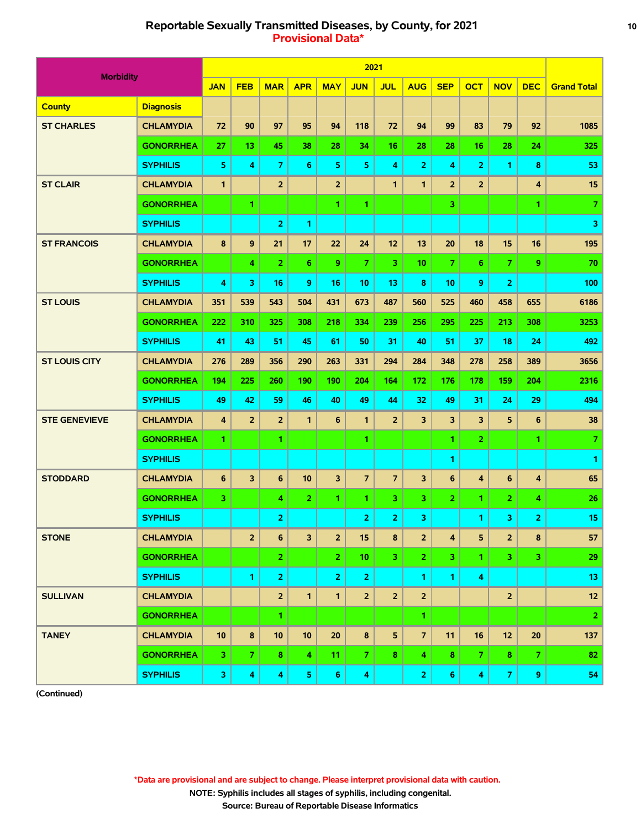# **Reportable Sexually Transmitted Diseases, by County, for 2021 10 Provisional Data\***

|                      |                  |                |                         |                         |                 |                | 2021                    |                |                |                |                |                |                |                    |
|----------------------|------------------|----------------|-------------------------|-------------------------|-----------------|----------------|-------------------------|----------------|----------------|----------------|----------------|----------------|----------------|--------------------|
| <b>Morbidity</b>     |                  | <b>JAN</b>     | <b>FEB</b>              | <b>MAR</b>              | <b>APR</b>      | <b>MAY</b>     | <b>JUN</b>              | <b>JUL</b>     | <b>AUG</b>     | <b>SEP</b>     | <b>OCT</b>     | <b>NOV</b>     | <b>DEC</b>     | <b>Grand Total</b> |
| <b>County</b>        | <b>Diagnosis</b> |                |                         |                         |                 |                |                         |                |                |                |                |                |                |                    |
| <b>ST CHARLES</b>    | <b>CHLAMYDIA</b> | 72             | 90                      | 97                      | 95              | 94             | 118                     | 72             | 94             | 99             | 83             | 79             | 92             | 1085               |
|                      | <b>GONORRHEA</b> | 27             | 13                      | 45                      | 38              | 28             | 34                      | 16             | 28             | 28             | 16             | 28             | 24             | 325                |
|                      | <b>SYPHILIS</b>  | 5              | 4                       | $\overline{7}$          | 6               | 5              | 5                       | 4              | $\overline{2}$ | 4              | $\overline{2}$ | 1              | 8              | 53                 |
| <b>ST CLAIR</b>      | <b>CHLAMYDIA</b> | 1              |                         | $\overline{2}$          |                 | $\overline{2}$ |                         | $\mathbf{1}$   | $\mathbf{1}$   | $\overline{2}$ | $\overline{2}$ |                | 4              | 15                 |
|                      | <b>GONORRHEA</b> |                | 1                       |                         |                 | 1              | 1.                      |                |                | 3.             |                |                | 1.             | $\overline{7}$     |
|                      | <b>SYPHILIS</b>  |                |                         | $\overline{2}$          | 1               |                |                         |                |                |                |                |                |                | 3                  |
| <b>ST FRANCOIS</b>   | <b>CHLAMYDIA</b> | 8              | 9                       | 21                      | 17              | 22             | 24                      | 12             | 13             | 20             | 18             | 15             | 16             | 195                |
|                      | <b>GONORRHEA</b> |                | 4                       | $\overline{2}$          | 6               | 9              | $\overline{7}$          | 3              | 10             | $\overline{7}$ | 6              | $\overline{7}$ | 9              | 70                 |
|                      | <b>SYPHILIS</b>  | 4              | 3                       | 16                      | 9               | 16             | 10                      | 13             | 8              | 10             | 9              | $\overline{2}$ |                | 100                |
| <b>ST LOUIS</b>      | <b>CHLAMYDIA</b> | 351            | 539                     | 543                     | 504             | 431            | 673                     | 487            | 560            | 525            | 460            | 458            | 655            | 6186               |
|                      | <b>GONORRHEA</b> | 222            | 310                     | 325                     | 308             | 218            | 334                     | 239            | 256            | 295            | 225            | 213            | 308            | 3253               |
|                      | <b>SYPHILIS</b>  | 41             | 43                      | 51                      | 45              | 61             | 50                      | 31             | 40             | 51             | 37             | 18             | 24             | 492                |
| <b>ST LOUIS CITY</b> | <b>CHLAMYDIA</b> | 276            | 289                     | 356                     | 290             | 263            | 331                     | 294            | 284            | 348            | 278            | 258            | 389            | 3656               |
|                      | <b>GONORRHEA</b> | 194            | 225                     | 260                     | 190             | 190            | 204                     | 164            | 172            | 176            | 178            | 159            | 204            | 2316               |
|                      | <b>SYPHILIS</b>  | 49             | 42                      | 59                      | 46              | 40             | 49                      | 44             | 32             | 49             | 31             | 24             | 29             | 494                |
| <b>STE GENEVIEVE</b> | <b>CHLAMYDIA</b> | $\overline{4}$ | $\overline{2}$          | $\overline{2}$          | $\mathbf{1}$    | 6              | $\mathbf{1}$            | $\overline{2}$ | 3              | 3              | 3              | 5              | 6              | 38                 |
|                      | <b>GONORRHEA</b> | 1              |                         | 1                       |                 |                | 1.                      |                |                | 1              | $\overline{2}$ |                | 1.             | $\overline{7}$     |
|                      | <b>SYPHILIS</b>  |                |                         |                         |                 |                |                         |                |                | 1              |                |                |                | $\mathbf{1}$       |
| <b>STODDARD</b>      | <b>CHLAMYDIA</b> | 6              | $\overline{\mathbf{3}}$ | 6                       | 10              | 3              | $\overline{7}$          | $\overline{7}$ | 3              | 6              | 4              | 6              | 4              | 65                 |
|                      | <b>GONORRHEA</b> | 3              |                         | 4                       | $\overline{2}$  | 1.             | 1                       | 3              | 3.             | $\mathbf{z}$   | 1              | 2              | 4              | 26                 |
|                      | <b>SYPHILIS</b>  |                |                         | $\overline{\mathbf{2}}$ |                 |                | $\overline{2}$          | 2              | 3              |                | 1              | 3              | $\overline{2}$ | 15                 |
| <b>STONE</b>         | <b>CHLAMYDIA</b> |                | $\overline{2}$          | $\boldsymbol{6}$        | 3               | $\overline{2}$ | 15                      | $\bf{8}$       | $\overline{2}$ | 4              | 5              | $\overline{2}$ | 8              | 57                 |
|                      | <b>GONORRHEA</b> |                |                         | $\mathbf{2}$            |                 | 2 <sub>1</sub> | 10.                     | 3 <sup>1</sup> | 2 <sup>1</sup> | 3 <sup>1</sup> | 1.             | 3 <sup>7</sup> | 3              | 29                 |
|                      | <b>SYPHILIS</b>  |                | 1                       | $\overline{2}$          |                 | $\overline{2}$ | $\overline{2}$          |                | $\mathbf{1}$   | 1.             | 4              |                |                | 13                 |
| <b>SULLIVAN</b>      | <b>CHLAMYDIA</b> |                |                         | $\overline{2}$          | $\mathbf{1}$    | $\mathbf{1}$   | $\overline{2}$          | $\overline{2}$ | $\overline{2}$ |                |                | $\overline{2}$ |                | $12$               |
|                      | <b>GONORRHEA</b> |                |                         | 1                       |                 |                |                         |                | 1.             |                |                |                |                | $\overline{2}$     |
| <b>TANEY</b>         | <b>CHLAMYDIA</b> | 10             | 8                       | 10                      | 10 <sub>1</sub> | 20             | 8                       | 5 <sub>5</sub> | $\overline{7}$ | 11             | 16             | 12             | 20             | 137                |
|                      | <b>GONORRHEA</b> | 3              | $\overline{7}$          | 8                       | 4               | 11             | $\mathcal{I}$           | 8              | 4              | 8              | 7              | $\bf{8}$       | $\mathbf{7}$   | 82                 |
|                      | <b>SYPHILIS</b>  | 3              | $\overline{\mathbf{4}}$ | $\overline{\mathbf{4}}$ | 5 <sub>1</sub>  | 6 <sup>1</sup> | $\overline{\mathbf{4}}$ |                | 2 <sub>1</sub> | 6 <sub>1</sub> | 4              | $\mathbf{7}$   | 9              | 54                 |

**(Continued)**

 **\*Data are provisional and are subject to change. Please interpret provisional data with caution.**

 **NOTE: Syphilis includes all stages of syphilis, including congenital.**